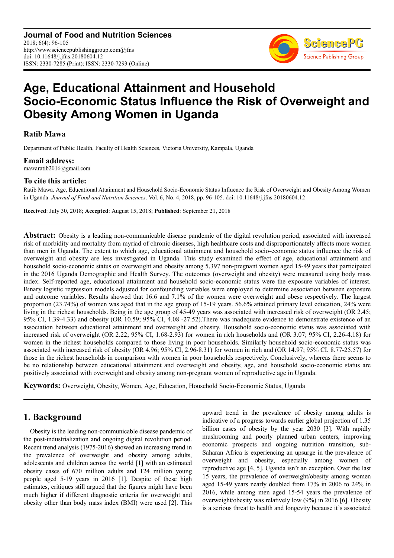**Journal of Food and Nutrition Sciences** 2018; 6(4): 96-105 http://www.sciencepublishinggroup.com/j/jfns doi: 10.11648/j.jfns.20180604.12 ISSN: 2330-7285 (Print); ISSN: 2330-7293 (Online)



# **Age, Educational Attainment and Household Socio-Economic Status Influence the Risk of Overweight and Obesity Among Women in Uganda**

# **Ratib Mawa**

Department of Public Health, Faculty of Health Sciences, Victoria University, Kampala, Uganda

**Email address:**<br>mawaratib2016@gmail.com

## **To cite this article:**

Ratib Mawa. Age, Educational Attainment and Household Socio-Economic Status Influence the Risk of Overweight and Obesity Among Women in Uganda. *Journal of Food and Nutrition Sciences*. Vol. 6, No. 4, 2018, pp. 96-105. doi: 10.11648/j.jfns.20180604.12

**Received**: July 30, 2018; **Accepted**: August 15, 2018; **Published**: September 21, 2018

**Abstract:** Obesity is a leading non-communicable disease pandemic of the digital revolution period, associated with increased risk of morbidity and mortality from myriad of chronic diseases, high healthcare costs and disproportionately affects more women than men in Uganda. The extent to which age, educational attainment and household socio-economic status influence the risk of overweight and obesity are less investigated in Uganda. This study examined the effect of age, educational attainment and household socio-economic status on overweight and obesity among 5,397 non-pregnant women aged 15-49 years that participated in the 2016 Uganda Demographic and Health Survey. The outcomes (overweight and obesity) were measured using body mass index. Self-reported age, educational attainment and household socio-economic status were the exposure variables of interest. Binary logistic regression models adjusted for confounding variables were employed to determine association between exposure and outcome variables. Results showed that 16.6 and 7.1% of the women were overweight and obese respectively. The largest proportion (23.74%) of women was aged that in the age group of 15-19 years. 56.6% attained primary level education, 24% were living in the richest households. Being in the age group of 45-49 years was associated with increased risk of overweight (OR 2.45; 95% CI, 1.39-4.33) and obesity (OR 10.59; 95% CI, 4.08 -27.52).There was inadequate evidence to demonstrate existence of an association between educational attainment and overweight and obesity. Household socio-economic status was associated with increased risk of overweight (OR 2.22; 95% CI, 1.68-2.93) for women in rich households and (OR 3.07; 95% CI, 2.26-4.18) for women in the richest households compared to those living in poor households. Similarly household socio-economic status was associated with increased risk of obesity (OR 4.96; 95% CI, 2.96-8.31) for women in rich and (OR 14.97; 95% CI, 8.77-25.57) for those in the richest households in comparison with women in poor households respectively. Conclusively, whereas there seems to be no relationship between educational attainment and overweight and obesity, age, and household socio-economic status are positively associated with overweight and obesity among non-pregnant women of reproductive age in Uganda.

**Keywords:** Overweight, Obesity, Women, Age, Education, Household Socio-Economic Status, Uganda

# **1. Background**

Obesity is the leading non-communicable disease pandemic of the post-industrialization and ongoing digital revolution period. Recent trend analysis (1975-2016) showed an increasing trend in the prevalence of overweight and obesity among adults, adolescents and children across the world [1] with an estimated obesity cases of 670 million adults and 124 million young people aged 5-19 years in 2016 [1]. Despite of these high estimates, critiques still argued that the figures might have been much higher if different diagnostic criteria for overweight and obesity other than body mass index (BMI) were used [2]. This upward trend in the prevalence of obesity among adults is indicative of a progress towards earlier global projection of 1.35 billion cases of obesity by the year 2030 [3]. With rapidly mushrooming and poorly planned urban centers, improving economic prospects and ongoing nutrition transition, sub-Saharan Africa is experiencing an upsurge in the prevalence of overweight and obesity, especially among women of reproductive age [4, 5]. Uganda isn't an exception. Over the last 15 years, the prevalence of overweight/obesity among women aged 15-49 years nearly doubled from 17% in 2006 to 24% in 2016, while among men aged 15-54 years the prevalence of overweight/obesity was relatively low (9%) in 2016 [6]. Obesity is a serious threat to health and longevity because it's associated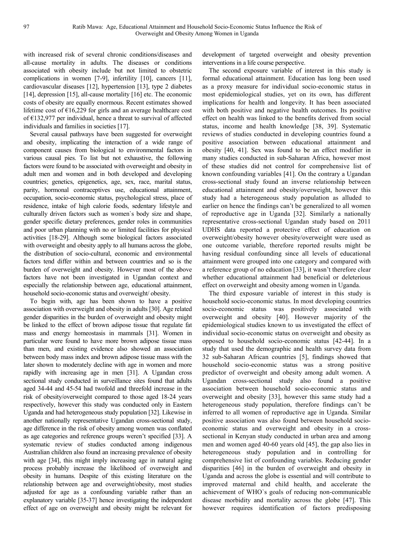with increased risk of several chronic conditions/diseases and all-cause mortality in adults. The diseases or conditions associated with obesity include but not limited to obstetric complications in women [7-9], infertility [10], cancers [11], cardiovascular diseases [12], hypertension [13], type 2 diabetes [14], depression [15], all-cause mortality [16] etc. The economic costs of obesity are equally enormous. Recent estimates showed lifetime cost of  $\epsilon$ 16,229 for girls and an average healthcare cost of €132,977 per individual, hence a threat to survival of affected individuals and families in societies [17].

Several causal pathways have been suggested for overweight and obesity, implicating the interaction of a wide range of component causes from biological to environmental factors in various causal pies. To list but not exhaustive, the following factors were found to be associated with overweight and obesity in adult men and women and in both developed and developing countries; genetics, epigenetics, age, sex, race, marital status, parity, hormonal contraceptives use, educational attainment, occupation, socio-economic status, psychological stress, place of residence, intake of high calorie foods, sedentary lifestyle and culturally driven factors such as women`s body size and shape, gender specific dietary preferences, gender roles in communities and poor urban planning with no or limited facilities for physical activities [18-29]. Although some biological factors associated with overweight and obesity apply to all humans across the globe, the distribution of socio-cultural, economic and environmental factors tend differ within and between countries and so is the burden of overweight and obesity. However most of the above factors have not been investigated in Ugandan context and especially the relationship between age, educational attainment, household socio-economic status and overweight/ obesity.

To begin with, age has been shown to have a positive association with overweight and obesity in adults [30]. Age related gender disparities in the burden of overweight and obesity might be linked to the effect of brown adipose tissue that regulate fat mass and energy homeostasis in mammals [31]. Women in particular were found to have more brown adipose tissue mass than men, and existing evidence also showed an association between body mass index and brown adipose tissue mass with the later shown to moderately decline with age in women and more rapidly with increasing age in men [31]. A Ugandan cross sectional study conducted in surveillance sites found that adults aged 34-44 and 45-54 had twofold and threefold increase in the risk of obesity/overweight compared to those aged 18-24 years respectively, however this study was conducted only in Eastern Uganda and had heterogeneous study population [32]. Likewise in another nationally representative Ugandan cross-sectional study, age difference in the risk of obesity among women was conflated as age categories and reference groups weren't specified [33]. A systematic review of studies conducted among indigenous Australian children also found an increasing prevalence of obesity with age [34], this might imply increasing age in natural aging process probably increase the likelihood of overweight and obesity in humans. Despite of this existing literature on the relationship between age and overweight/obesity, most studies adjusted for age as a confounding variable rather than an explanatory variable [35-37] hence investigating the independent effect of age on overweight and obesity might be relevant for development of targeted overweight and obesity prevention interventions in a life course perspective.

The second exposure variable of interest in this study is formal educational attainment. Education has long been used as a proxy measure for individual socio-economic status in most epidemiological studies, yet on its own, has different implications for health and longevity. It has been associated with both positive and negative health outcomes. Its positive effect on health was linked to the benefits derived from social status, income and health knowledge [38, 39]. Systematic reviews of studies conducted in developing countries found a positive association between educational attainment and obesity [40, 41]. Sex was found to be an effect modifier in many studies conducted in sub-Saharan Africa, however most of these studies did not control for comprehensive list of known confounding variables [41]. On the contrary a Ugandan cross-sectional study found an inverse relationship between educational attainment and obesity/overweight, however this study had a heterogeneous study population as alluded to earlier on hence the findings can't be generalized to all women of reproductive age in Uganda [32]. Similarly a nationally representative cross-sectional Ugandan study based on 2011 UDHS data reported a protective effect of education on overweight/obesity however obesity/overweight were used as one outcome variable, therefore reported results might be having residual confounding since all levels of educational attainment were grouped into one category and compared with a reference group of no education [33], it wasn't therefore clear whether educational attainment had beneficial or deleterious effect on overweight and obesity among women in Uganda.

The third exposure variable of interest in this study is household socio-economic status. In most developing countries socio-economic status was positively associated with overweight and obesity [40]. However majority of the epidemiological studies known to us investigated the effect of individual socio-economic status on overweight and obesity as opposed to household socio-economic status [42-44]. In a study that used the demographic and health survey data from 32 sub-Saharan African countries [5], findings showed that household socio-economic status was a strong positive predictor of overweight and obesity among adult women. A Ugandan cross-sectional study also found a positive association between household socio-economic status and overweight and obesity [33], however this same study had a heterogeneous study population, therefore findings can't be inferred to all women of reproductive age in Uganda. Similar positive association was also found between household socioeconomic status and overweight and obesity in a crosssectional in Kenyan study conducted in urban area and among men and women aged 40-60 years old [45], the gap also lies in heterogeneous study population and in controlling for comprehensive list of confounding variables. Reducing gender disparities [46] in the burden of overweight and obesity in Uganda and across the globe is essential and will contribute to improved maternal and child health, and accelerate the achievement of WHO`s goals of reducing non-communicable disease morbidity and mortality across the globe [47]. This however requires identification of factors predisposing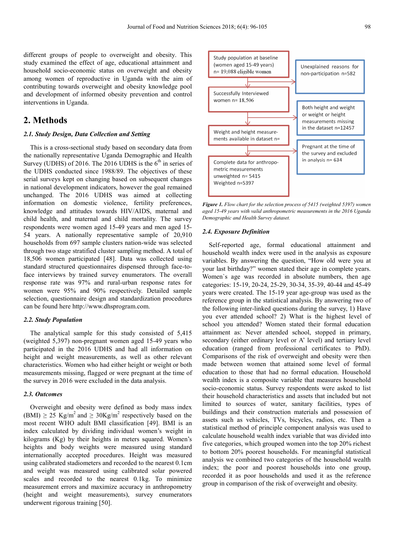different groups of people to overweight and obesity. This study examined the effect of age, educational attainment and household socio-economic status on overweight and obesity among women of reproductive in Uganda with the aim of contributing towards overweight and obesity knowledge pool and development of informed obesity prevention and control interventions in Uganda.

# **2. Methods**

### *2.1. Study Design, Data Collection and Setting*

This is a cross-sectional study based on secondary data from the nationally representative Uganda Demographic and Health Survey (UDHS) of 2016. The 2016 UDHS is the  $6<sup>th</sup>$  in series of the UDHS conducted since 1988/89. The objectives of these serial surveys kept on changing based on subsequent changes in national development indicators, however the goal remained unchanged. The 2016 UDHS was aimed at collecting information on domestic violence, fertility preferences, knowledge and attitudes towards HIV/AIDS, maternal and child health, and maternal and child mortality. The survey respondents were women aged 15-49 years and men aged 15- 54 years. A nationally representative sample of 20,910 households from 697 sample clusters nation-wide was selected through two stage stratified cluster sampling method. A total of 18,506 women participated [48]. Data was collected using standard structured questionnaires dispensed through face-toface interviews by trained survey enumerators. The overall response rate was 97% and rural-urban response rates for women were 95% and 90% respectively. Detailed sample selection, questionnaire design and standardization procedures can be found here http://www.dhsprogram.com.

#### *2.2. Study Population*

The analytical sample for this study consisted of 5,415 (weighted 5,397) non-pregnant women aged 15-49 years who participated in the 2016 UDHS and had all information on height and weight measurements, as well as other relevant characteristics. Women who had either height or weight or both measurements missing, flagged or were pregnant at the time of the survey in 2016 were excluded in the data analysis.

#### *2.3. Outcomes*

Overweight and obesity were defined as body mass index  $(BMI) \ge 25$  Kg/m<sup>2</sup> and  $\ge 30$ Kg/m<sup>2</sup> respectively based on the most recent WHO adult BMI classification [49]. BMI is an index calculated by dividing individual women's weight in kilograms (Kg) by their heights in meters squared. Women's heights and body weights were measured using standard internationally accepted procedures. Height was measured using calibrated stadiometers and recorded to the nearest 0.1cm and weight was measured using calibrated solar powered scales and recorded to the nearest 0.1kg. To minimize measurement errors and maximize accuracy in anthropometry (height and weight measurements), survey enumerators underwent rigorous training [50].

Study population at baseline (women aged 15-49 years) Unexplained reasons for n= 19,088 eligible women non-participation n=582 Successfully Interviewed women n= 18,506 Both height and weight or weight or height measurements missing in the dataset n=12457 Weight and height measurements available in dataset n= Pregnant at the time of the survey and excluded in analysis n= 634 Complete data for anthropometric measurements unweighted n= 5415 Weighted n=5397

*Figure 1. Flow chart for the selection process of 5415 (weighted 5397) women aged 15-49 years with valid anthropometric measurements in the 2016 Uganda Demographic and Health Survey dataset.* 

#### *2.4. Exposure Definition*

Self-reported age, formal educational attainment and household wealth index were used in the analysis as exposure variables. By answering the question, "How old were you at your last birthday?" women stated their age in complete years. Women`s age was recorded in absolute numbers, then age categories: 15-19, 20-24, 25-29, 30-34, 35-39, 40-44 and 45-49 years were created. The 15-19 year age-group was used as the reference group in the statistical analysis. By answering two of the following inter-linked questions during the survey, 1) Have you ever attended school? 2) What is the highest level of school you attended? Women stated their formal education attainment as: Never attended school, stopped in primary, secondary (either ordinary level or A' level) and tertiary level education (ranged from professional certificates to PhD). Comparisons of the risk of overweight and obesity were then made between women that attained some level of formal education to those that had no formal education. Household wealth index is a composite variable that measures household socio-economic status. Survey respondents were asked to list their household characteristics and assets that included but not limited to sources of water, sanitary facilities, types of buildings and their construction materials and possession of assets such as vehicles, TVs, bicycles, radios, etc. Then a statistical method of principle component analysis was used to calculate household wealth index variable that was divided into five categories, which grouped women into the top 20% richest to bottom 20% poorest households. For meaningful statistical analysis we combined two categories of the household wealth index; the poor and poorest households into one group, recorded it as poor households and used it as the reference group in comparison of the risk of overweight and obesity.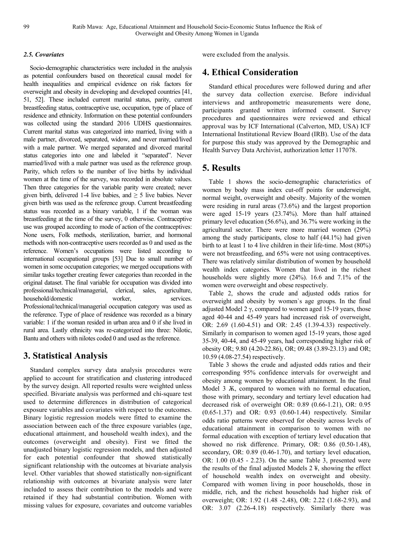### *2.5. Covariates*

Socio-demographic characteristics were included in the analysis as potential confounders based on theoretical causal model for health inequalities and empirical evidence on risk factors for overweight and obesity in developing and developed countries [41, 51, 52]. These included current marital status, parity, current breastfeeding status, contraceptive use, occupation, type of place of residence and ethnicity. Information on these potential confounders was collected using the standard 2016 UDHS questionnaires. Current marital status was categorized into married, living with a male partner, divorced, separated, widow, and never married/lived with a male partner. We merged separated and divorced marital status categories into one and labeled it "separated". Never married/lived with a male partner was used as the reference group. Parity, which refers to the number of live births by individual women at the time of the survey, was recorded in absolute values. Then three categories for the variable parity were created; never given birth, delivered 1-4 live babies, and  $\geq$  5 live babies. Never given birth was used as the reference group. Current breastfeeding status was recorded as a binary variable, 1 if the woman was breastfeeding at the time of the survey, 0 otherwise. Contraceptive use was grouped according to mode of action of the contraceptives: None users, Folk methods, sterilization, barrier, and hormonal methods with non-contraceptive users recorded as 0 and used as the reference. Women's occupations were listed according to international occupational groups [53] Due to small number of women in some occupation categories; we merged occupations with similar tasks together creating fewer categories than recorded in the original dataset. The final variable for occupation was divided into professional/technical/managerial, clerical, sales, agriculture, household/domestic worker, services. Professional/technical/managerial occupation category was used as the reference. Type of place of residence was recorded as a binary variable: 1 if the woman resided in urban area and 0 if she lived in rural area. Lastly ethnicity was re-categorized into three: Nilotic, Bantu and others with nilotes coded 0 and used as the reference.

# **3. Statistical Analysis**

Standard complex survey data analysis procedures were applied to account for stratification and clustering introduced by the survey design. All reported results were weighted unless specified. Bivariate analysis was performed and chi-square test used to determine differences in distribution of categorical exposure variables and covariates with respect to the outcomes. Binary logistic regression models were fitted to examine the association between each of the three exposure variables (age, educational attainment, and household wealth index), and the outcomes (overweight and obesity). First we fitted the unadjusted binary logistic regression models, and then adjusted for each potential confounder that showed statistically significant relationship with the outcomes at bivariate analysis level. Other variables that showed statistically non-significant relationship with outcomes at bivariate analysis were later included to assess their contribution to the models and were retained if they had substantial contribution. Women with missing values for exposure, covariates and outcome variables

were excluded from the analysis.

# **4. Ethical Consideration**

Standard ethical procedures were followed during and after the survey data collection exercise. Before individual interviews and anthropometric measurements were done, participants granted written informed consent. Survey procedures and questionnaires were reviewed and ethical approval was by ICF International (Calverton, MD, USA) ICF International Institutional Review Board (IRB). Use of the data for purpose this study was approved by the Demographic and Health Survey Data Archivist, authorization letter 117078.

# **5. Results**

Table 1 shows the socio-demographic characteristics of women by body mass index cut-off points for underweight, normal weight, overweight and obesity. Majority of the women were residing in rural areas (73.6%) and the largest proportion were aged 15-19 years (23.74%). More than half attained primary level education (56.6%), and 36.7% were working in the agricultural sector. There were more married women (29%) among the study participants, close to half (44.1%) had given birth to at least 1 to 4 live children in their life-time. Most (80%) were not breastfeeding, and 65% were not using contraceptives. There was relatively similar distribution of women by household wealth index categories. Women that lived in the richest households were slightly more (24%). 16.6 and 7.1% of the women were overweight and obese respectively.

Table 2, shows the crude and adjusted odds ratios for overweight and obesity by women`s age groups. In the final adjusted Model 2 γ, compared to women aged 15-19 years, those aged 40-44 and 45-49 years had increased risk of overweight, OR: 2.69 (1.60-4.51) and OR: 2.45 (1.39-4.33) respectively. Similarly in comparison to women aged 15-19 years, those aged 35-39, 40-44, and 45-49 years, had corresponding higher risk of obesity OR; 9.80 (4.20-22.86), OR; 09.48 (3.89-23.13) and OR; 10.59 (4.08-27.54) respectively.

Table 3 shows the crude and adjusted odds ratios and their corresponding 95% confidence intervals for overweight and obesity among women by educational attainment. In the final Model 3  $\overline{X}$ , compared to women with no formal education, those with primary, secondary and tertiary level education had decreased risk of overweight OR: 0.89 (0.66-1.21), OR: 0.95 (0.65-1.37) and OR: 0.93 (0.60-1.44) respectively. Similar odds ratio patterns were observed for obesity across levels of educational attainment in comparison to women with no formal education with exception of tertiary level education that showed no risk difference. Primary, OR: 0.86 (0.50-1.48), secondary, OR: 0.89 (0.46-1.70), and tertiary level education, OR: 1.00 (0.45 - 2.23). On the same Table 3, presented were the results of the final adjusted Models 2 ¥, showing the effect of household wealth index on overweight and obesity. Compared with women living in poor households, those in middle, rich, and the richest households had higher risk of overweight; OR: 1.92 (1.48 -2.48), OR: 2.22 (1.68-2.93), and OR: 3.07 (2.26-4.18) respectively. Similarly there was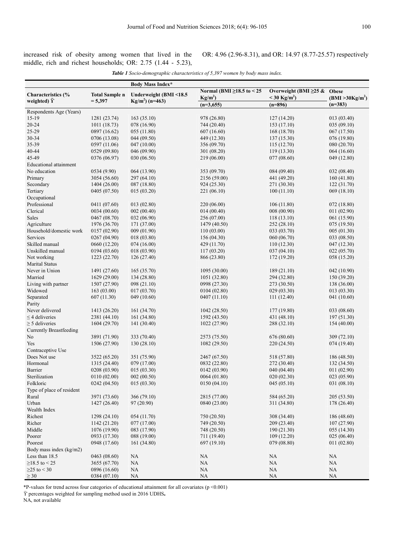increased risk of obesity among women that lived in the middle, rich and richest households; OR: 2.75 (1.44 - 5.23), OR: 4.96 (2.96-8.31), and OR: 14.97 (8.77-25.57) respectively

| <b>Table 1</b> Socio-demographic characteristics of 5,397 women by body mass index. |  |
|-------------------------------------------------------------------------------------|--|
|-------------------------------------------------------------------------------------|--|

|                                      |                       | <b>Body Mass Index*</b> |                                 |                                   |                              |
|--------------------------------------|-----------------------|-------------------------|---------------------------------|-----------------------------------|------------------------------|
| Characteristics (%                   | <b>Total Sample n</b> | Underweight (BMI <18.5  | Normal (BMI $\geq$ 18.5 to < 25 | Overweight (BMI $\geq$ 25 & Obese |                              |
| weighted) $\ddot{Y}$                 | $= 5,397$             | $Kg/m^2$ ) (n=463)      | $Kg/m^2$                        | $<$ 30 Kg/m <sup>2</sup> )        | (BMI > 30Kg/m <sup>2</sup> ) |
|                                      |                       |                         | $(n=3,655)$                     | $(n=896)$                         | $(n=383)$                    |
| Respondents Age (Years)              |                       |                         |                                 |                                   |                              |
| $15-19$                              | 1281 (23.74)          | 163(35.10)              | 978 (26.80)                     | 127(14.20)                        | 013 (03.40)                  |
| $20 - 24$                            | 1011 (18.73)          | 078 (16.90)             | 744 (20.40)                     | 153 (17.10)                       | 035 (09.10)                  |
| 25-29                                | 0897 (16.62)          | 055 (11.80)             | 607 (16.60)                     | 168 (18.70)                       | 067 (17.50)                  |
| 30-34                                | 0706 (13.08)          | 044(09.50)              | 449 (12.30)                     | 137(15.30)                        | 076 (19.80)                  |
| 35-39                                | 0597 (11.06)          | 047(10.00)              | 356 (09.70)                     | 115(12.70)                        | 080 (20.70)                  |
| 40-44                                | 0529 (09.80)          | 046 (09.90)             | 301 (08.20)                     | 119(13.30)                        | 064(16.60)                   |
| 45-49                                | 0376 (06.97)          | 030 (06.50)             | 219 (06.00)                     | 077 (08.60)                       | 049 (12.80)                  |
| <b>Educational attainment</b>        |                       |                         |                                 |                                   |                              |
| No education                         | 0534 (9.90)           | 064 (13.90)             | 353 (09.70)                     | 084 (09.40)                       | 032 (08.40)                  |
| Primary                              | 3054 (56.60)          | 297 (64.10)             | 2156 (59.00)                    | 441 (49.20)                       | 160(41.80)                   |
| Secondary                            | 1404 (26.00)          | 087 (18.80)             | 924 (25.30)                     | 271 (30.30)                       | 122(31.70)                   |
| Tertiary                             | 0405 (07.50)          | 015 (03.20)             | 221 (06.10)                     | 100(11.10)                        | 069(18.10)                   |
| Occupational                         |                       |                         |                                 |                                   |                              |
| Professional                         | 0411 (07.60)          | 013(02.80)              | 220 (06.00)                     | 106(11.80)                        | 072 (18.80)                  |
| Clerical                             | 0034 (00.60)          | 002(00.40)              | 014(00.40)                      | 008 (00.90)                       | 011(02.90)                   |
| Sales                                | 0467 (08.70)          | 032 (06.90)             | 256 (07.00)                     | 118(13.10)                        | 061 (15.90)                  |
| Agriculture                          | 1976 (36.70)          | 171 (37.00)             | 1479 (40.50)                    | 252 (28.10)                       | 075 (19.50)                  |
| Household/domestic work              | 0157(02.90)           | 009 (01.90)             | 110(03.00)                      | 033 (03.70)                       | 005 (01.30)                  |
| Services                             | 0267 (04.90)          | 018(03.80)              | 156 (04.30)                     | 060 (06.70)                       | 033 (08.50)                  |
| Skilled manual                       | 0660 (12.20)          | 074(16.00)              | 429 (11.70)                     | 110(12.30)                        | 047 (12.30)                  |
| Unskilled manual                     | 0194(03.60)           | 018(03.90)              | 117(03.20)                      | 037(04.10)                        |                              |
|                                      |                       |                         |                                 |                                   | 022(05.70)                   |
| Not working<br><b>Marital Status</b> | 1223 (22.70)          | 126(27.40)              | 866 (23.80)                     | 172 (19.20)                       | 058 (15.20)                  |
| Never in Union                       | 1491 (27.60)          | 165(35.70)              | 1095 (30.00)                    | 189 (21.10)                       | 042 (10.90)                  |
| Married                              | 1629 (29.00)          | 134 (28.80)             | 1051 (32.80)                    | 294 (32.80)                       | 150 (39.20)                  |
| Living with partner                  | 1507 (27.90)          | 098 (21.10)             | 0998 (27.30)                    | 273 (30.50)                       | 138 (36.00)                  |
| Widowed                              | 163(03.00)            | 017(03.70)              | 0104 (02.80)                    | 029 (03.30)                       | 013 (03.30)                  |
| Separated                            | 607(11.30)            | 049 (10.60)             | 0407 (11.10)                    | 111(12.40)                        | 041 (10.60)                  |
| Parity                               |                       |                         |                                 |                                   |                              |
| Never delivered                      | 1413 (26.20)          | 161 (34.70)             | 1042 (28.50)                    | 177 (19.80)                       | 033 (08.60)                  |
| $\leq$ 4 deliveries                  | 2381 (44.10)          | 161 (34.80)             | 1592 (43.50)                    | 431 (48.10)                       | 197(51.30)                   |
| $\geq$ 5 deliveries                  | 1604 (29.70)          | 141 (30.40)             | 1022 (27.90)                    | 288 (32.10)                       | 154(40.00)                   |
| <b>Currently Breastfeeding</b>       |                       |                         |                                 |                                   |                              |
| No                                   | 3891 (71.90)          | 333 (70.40)             | 2573 (75.50)                    | 676 (80.60)                       | 309 (72.10)                  |
| Yes                                  | 1506 (27.90)          | 130(28.10)              | 1082 (29.50)                    | 220 (24.50)                       | 074(19.40)                   |
| Contraceptive Use                    |                       |                         |                                 |                                   |                              |
| Does Not use                         | 3522 (65.20)          | 351 (75.90)             | 2467 (67.50)                    | 518 (57.80)                       | 186 (48.50)                  |
| Hormonal                             | 1315 (24.40)          | 079 (17.00)             | 0832 (22.80)                    | 272 (30.40)                       | 132 (34.50)                  |
| Barrier                              | 0208 (03.90)          | 015(03.30)              | 0142 (03.90)                    | 040 (04.40)                       | 011 (02.90)                  |
| Sterilization                        | 0110(02.00)           | 002(00.50)              | 0064 (01.80)                    | 020(02.30)                        | 023 (05.90)                  |
| Folkloric                            | 0242(04.50)           | 015(03.30)              | 0150(04.10)                     | 045 (05.10)                       | 031 (08.10)                  |
|                                      |                       |                         |                                 |                                   |                              |
| Type of place of resident            |                       |                         |                                 |                                   |                              |
| Rural                                | 3971 (73.60)          | 366 (79.10)             | 2815 (77.00)                    | 584 (65.20)                       | 205 (53.50)                  |
| Urban                                | 1427 (26.40)          | 97 (20.90)              | 0840 (23.00)                    | 311 (34.80)                       | 178 (26.40)                  |
| Wealth Index                         |                       |                         |                                 |                                   |                              |
| Richest                              | 1298(24.10)           | 054(11.70)              | 750 (20.50)                     | 308 (34.40)                       | 186 (48.60)                  |
| Richer                               | 1142 (21.20)          | 077 (17.00)             | 749 (20.50)                     | 209 (23.40)                       | 107(27.90)                   |
| Middle                               | 1076 (19.90)          | 083 (17.90)             | 748 (20.50)                     | 190(21.30)                        | 055 (14.30)                  |
| Poorer                               | 0933 (17.30)          | 088 (19.00)             | 711 (19.40)                     | 109(12.20)                        | 025(06.40)                   |
| Poorest                              | 0948 (17.60)          | 161 (34.80)             | 697 (19.10)                     | 079 (08.80)                       | 011(02.80)                   |
| Body mass index (kg/m2)              |                       |                         |                                 |                                   |                              |
| Less than 18.5                       | 0463 (08.60)          | NA                      | NA                              | NA                                | NA                           |
| $≥18.5$ to < 25                      | 3655 (67.70)          | NA                      | $\rm NA$                        | NA                                | NA                           |
| $≥25$ to < 30                        | 0896 (16.60)          | $\rm NA$                | NA                              | NA                                | $\rm NA$                     |
| $\geq 30$                            | 0384 (07.10)          | <b>NA</b>               | NA                              | $\rm NA$                          | <b>NA</b>                    |

\*P-values for trend across four categories of educational attainment for all covariates (p <0.001)

ϔ percentages weighted for sampling method used in 2016 UDHS**.** 

NA, not available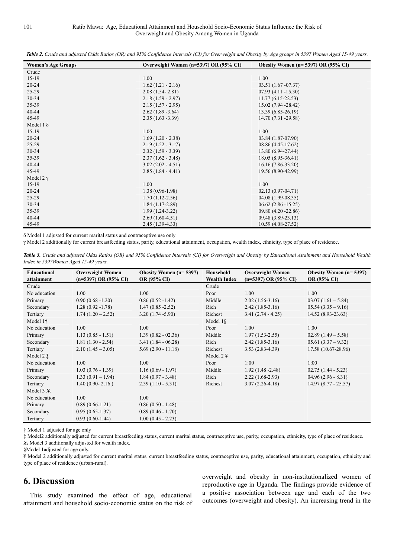*Table 2. Crude and adjusted Odds Ratios (OR) and 95% Confidence Intervals (CI) for Overweight and Obesity by Age groups in 5397 Women Aged 15-49 years.*

| <b>Women's Age Groups</b> | Overweight Women (n=5397) OR (95% CI) | Obesity Women ( $n=5397$ ) OR ( $95\%$ CI) |
|---------------------------|---------------------------------------|--------------------------------------------|
| Crude                     |                                       |                                            |
| $15-19$                   | 1.00                                  | 1.00                                       |
| $20 - 24$                 | $1.62(1.21 - 2.16)$                   | $03.51(1.67-07.37)$                        |
| 25-29                     | $2.08(1.54 - 2.81)$                   | $07.93(4.11 - 15.30)$                      |
| 30-34                     | $2.18(1.59 - 2.97)$                   | $11.77(6.15-22.53)$                        |
| 35-39                     | $2.15(1.57 - 2.95)$                   | 15.02 (7.94 - 28.42)                       |
| $40 - 44$                 | $2.62(1.89 - 3.64)$                   | 13.39 (6.85-26.19)                         |
| 45-49                     | $2.35(1.63 - 3.39)$                   | 14.70 (7.31 - 29.58)                       |
| Model 1 $\delta$          |                                       |                                            |
| $15-19$                   | 1.00                                  | 1.00                                       |
| $20 - 24$                 | $1.69(1.20 - 2.38)$                   | 03.84 (1.87-07.90)                         |
| $25-29$                   | $2.19(1.52 - 3.17)$                   | 08.86 (4.45-17.62)                         |
| 30-34                     | $2.32(1.59 - 3.39)$                   | 13.80 (6.94-27.44)                         |
| 35-39                     | $2.37(1.62 - 3.48)$                   | 18.05 (8.95-36.41)                         |
| 40-44                     | $3.02(2.02 - 4.51)$                   | $16.16(7.86-33.20)$                        |
| 45-49                     | $2.85(1.84 - 4.41)$                   | 19.56 (8.90-42.99)                         |
| Model $2 \gamma$          |                                       |                                            |
| $15-19$                   | 1.00                                  | 1.00                                       |
| $20 - 24$                 | $1.38(0.96-1.98)$                     | $02.13(0.97-04.71)$                        |
| $25-29$                   | $1.70(1.12-2.56)$                     | $04.08(1.99-08.35)$                        |
| 30-34                     | $1.84(1.17-2.89)$                     | $06.62(2.86 - 15.25)$                      |
| 35-39                     | $1.99(1.24-3.22)$                     | 09.80 (4.20 -22.86)                        |
| $40 - 44$                 | $2.69(1.60-4.51)$                     | 09.48 (3.89-23.13)                         |
| 45-49                     | $2.45(1.39-4.33)$                     | 10.59 (4.08-27.52)                         |

δ Model 1 adjusted for current marital status and contraceptive use only

γ Model 2 additionally for current breastfeeding status, parity, educational attainment, occupation, wealth index, ethnicity, type of place of residence.

*Table 3. Crude and adjusted Odds Ratios (OR) and 95% Confidence Intervals (CI) for Overweight and Obesity by Educational Attainment and Household Wealth Index in 5397Women Aged 15-49 years.* 

| Educational          | <b>Overweight Women</b>   | <b>Obesity Women (n=5397)</b> | Household             | <b>Overweight Women</b>   | Obesity Women $(n=5397)$ |
|----------------------|---------------------------|-------------------------------|-----------------------|---------------------------|--------------------------|
| attainment           | $(n=5397)$ OR $(95\%$ CI) | OR (95% CI)                   | <b>Wealth Index</b>   | $(n=5397)$ OR $(95\%$ CI) | OR (95% CI)              |
| Crude                |                           |                               | Crude                 |                           |                          |
| No education         | 1.00                      | 1.00                          | Poor                  | 1.00                      | 1.00                     |
| Primary              | $0.90(0.68 - 1.20)$       | $0.86(0.52 - 1.42)$           | Middle                | $2.02(1.56-3.16)$         | $03.07(1.61 - 5.84)$     |
| Secondary            | $1.28(0.92 - 1.78)$       | $1.47(0.85 - 2.52)$           | Rich                  | $2.42(1.85-3.16)$         | $05.54(3.35 - 9.16)$     |
| Tertiary             | $1.74(1.20-2.52)$         | $3.20(1.74 - 5.90)$           | Richest               | $3.41(2.74 - 4.25)$       | $14.52(8.93-23.63)$      |
| Model 1 <sup>+</sup> |                           |                               | Model $1\$            |                           |                          |
| No education         | 1.00                      | 1.00                          | Poor                  | 1.00                      | 1.00                     |
| Primary              | $1.13(0.85 - 1.51)$       | $1.39(0.82 - 02.36)$          | Middle                | $1.97(1.53 - 2.55)$       | $02.89(1.49-5.58)$       |
| Secondary            | $1.81(1.30 - 2.54)$       | $3.41(1.84 - 06.28)$          | Rich                  | $2.42(1.85-3.16)$         | $05.61 (3.37 - 9.32)$    |
| Tertiary             | $2.10(1.45 - 3.05)$       | $5.69(2.90 - 11.18)$          | Richest               | $3.53(2.83-4.39)$         | 17.58 (10.67-28.96)      |
| Model 2 $\ddagger$   |                           |                               | Model $2 \frac{1}{2}$ |                           |                          |
| No education         | 1.00                      | 1.00                          | Poor                  | 1:00                      | 1:00                     |
| Primary              | $1.03(0.76 - 1.39)$       | $1.16(0.69 - 1.97)$           | Middle                | $1.92(1.48 - 2.48)$       | $02.75(1.44 - 5.23)$     |
| Secondary            | $1.33(0.91 - 1.94)$       | $1.84(0.97 - 3.48)$           | Rich                  | $2.22(1.68-2.93)$         | $04.96(2.96 - 8.31)$     |
| Tertiary             | $1.40(0.90 - 2.16)$       | $2.39(1.10 - 5.31)$           | Richest               | $3.07(2.26-4.18)$         | $14.97(8.77 - 25.57)$    |
| Model $3 \times$     |                           |                               |                       |                           |                          |
| No education         | 1.00                      | 1.00                          |                       |                           |                          |
| Primary              | $0.89(0.66-1.21)$         | $0.86(0.50 - 1.48)$           |                       |                           |                          |
| Secondary            | $0.95(0.65-1.37)$         | $0.89(0.46 - 1.70)$           |                       |                           |                          |
| Tertiary             | $0.93(0.60-1.44)$         | $1.00(0.45 - 2.23)$           |                       |                           |                          |

† Model 1 adjusted for age only

‡ Model2 additionally adjusted for current breastfeeding status, current marital status, contraceptive use, parity, occupation, ethnicity, type of place of residence. Ѫ Model 3 additionally adjusted for wealth index.

§Model 1adjusted for age only.

¥ Model 2 additionally adjusted for current marital status, current breastfeeding status, contraceptive use, parity, educational attainment, occupation, ethnicity and type of place of residence (urban-rural).

# **6. Discussion**

This study examined the effect of age, educational attainment and household socio-economic status on the risk of overweight and obesity in non-institutionalized women of reproductive age in Uganda. The findings provide evidence of a positive association between age and each of the two outcomes (overweight and obesity). An increasing trend in the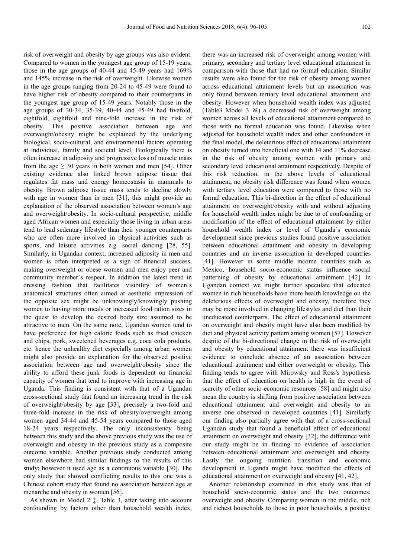risk of overweight and obesity by age groups was also evident. Compared to women in the youngest age group of 15-19 years, those in the age groups of 40-44 and 45-49 years had 169% and 145% increase in the risk of overweight. Likewise women in the age groups ranging from 20-24 to 45-49 were found to have higher risk of obesity compared to their counterparts in the youngest age group of 15-49 years. Notably those in the age groups of 30-34, 35-39, 40-44 and 45-49 had fivefold, eightfold, eightfold and nine-fold increase in the risk of obesity. This positive association between age and overweight/obesity might be explained by the underlying biological, socio-cultural, and environmental factors operating at individual, family and societal level. Biologically there is often increase in adiposity and progressive loss of muscle mass from the age  $\geq 30$  years in both women and men [54]. Other existing evidence also linked brown adipose tissue that regulates fat mass and energy homeostasis in mammals to obesity. Brown adipose tissue mass tends to decline slowly with age in women than in men [31], this might provide an explanation of the observed association between women's age and overweight/obesity. In socio-cultural perspective, middle aged African women and especially those living in urban areas tend to lead sedentary lifestyle than their younger counterparts who are often more involved in physical activities such as sports, and leisure activities e.g. social dancing [28, 55]. Similarly, in Ugandan context, increased adiposity in men and women is often interpreted as a sign of financial success, making overweight or obese women and men enjoy peer and community member`s respect. In addition the latest trend in dressing fashion that facilitates visibility of women`s anatomical structures often aimed at aesthetic impression of the opposite sex might be unknowingly/knowingly pushing women to having more meals or increased food ration sizes in the quest to develop the desired body size assumed to be attractive to men. On the same note, Ugandan women tend to have preference for high calorie foods such as fried chicken and chips, pork, sweetened beverages e.g. coca cola products, etc. hence the unhealthy diet especially among urban women might also provide an explanation for the observed positive association between age and overweight/obesity since the ability to afford these junk foods is dependent on financial capacity of women that tend to improve with increasing age in Uganda. This finding is consistent with that of a Ugandan cross-sectional study that found an increasing trend in the risk of overweight/obesity by age [33], precisely a two-fold and three-fold increase in the risk of obesity/overweight among women aged 34-44 and 45-54 years compared to those aged 18-24 years respectively. The only inconsistency being between this study and the above previous study was the use of overweight and obesity in the previous study as a composite outcome variable. Another previous study conducted among women elsewhere had similar findings to the results of this study; however it used age as a continuous variable [30]. The only study that showed conflicting results to this one was a Chinese cohort study that found no association between age at menarche and obesity in women [56].

As shown in Model 2 ‡, Table 3, after taking into account confounding by factors other than household wealth index, there was an increased risk of overweight among women with primary, secondary and tertiary level educational attainment in comparison with those that had no formal education. Similar results were also found for the risk of obesity among women across educational attainment levels but an association was only found between tertiary level educational attainment and obesity. However when household wealth index was adjusted (Table3 Model 3 Ѫ) a decreased risk of overweight among women across all levels of educational attainment compared to those with no formal education was found. Likewise when adjusted for household wealth index and other confounders in the final model, the deleterious effect of educational attainment on obesity turned into beneficial one with 14 and 11% decrease in the risk of obesity among women with primary and secondary level educational attainment respectively. Despite of this risk reduction, in the above levels of educational attainment, no obesity risk difference was found when women with tertiary level education were compared to those with no formal education. This bi-direction in the effect of educational attainment on overweight/obesity with and without adjusting for household wealth index might be due to of confounding or modification of the effect of educational attainment by either household wealth index or level of Uganda`s economic development since previous studies found positive association between educational attainment and obesity in developing countries and an inverse association in developed countries [41]. However in some middle income countries such as Mexico, household socio-economic status influence social patterning of obesity by educational attainment [42] In Ugandan context we might further speculate that educated women in rich households have more health knowledge on the deleterious effects of overweight and obesity, therefore they may be more involved in changing lifestyles and diet than their uneducated counterparts. The effect of educational attainment on overweight and obesity might have also been modified by diet and physical activity pattern among women [57]. However despite of the bi-directional change in the risk of overweight and obesity by educational attainment there was insufficient evidence to conclude absence of an association between educational attainment and either overweight or obesity. This finding tends to agree with Mirowsky and Ross's hypothesis that the effect of education on health is high in the event of scarcity of other socio-economic resources [58] and might also mean the country is shifting from positive association between educational attainment and overweight and obesity to an inverse one observed in developed countries [41]. Similarly our finding also partially agree with that of a cross-sectional Ugandan study that found a beneficial effect of educational attainment on overweight and obesity [32], the difference with our study might be in finding no evidence of association between educational attainment and overweight and obesity. Lastly the ongoing nutrition transition and economic development in Uganda might have modified the effects of educational attainment on overweight and obesity [41, 42].

Another relationship examined in this study was that of household socio-economic status and the two outcomes; overweight and obesity. Comparing women in the middle, rich and richest households to those in poor households, a positive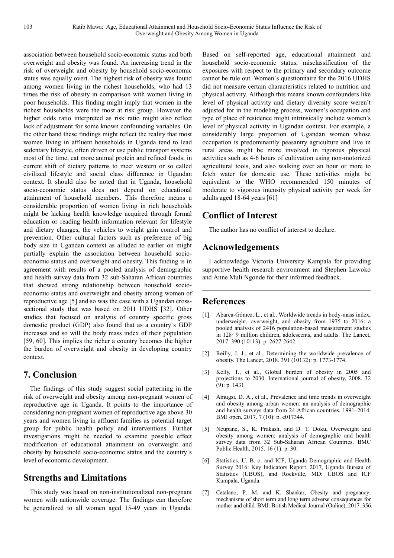association between household socio-economic status and both overweight and obesity was found. An increasing trend in the risk of overweight and obesity by household socio-economic status was equally overt. The highest risk of obesity was found among women living in the richest households, who had 13 times the risk of obesity in comparison with women living in poor households. This finding might imply that women in the richest households were the most at risk group. However the higher odds ratio interpreted as risk ratio might also reflect lack of adjustment for some known confounding variables. On the other hand these findings might reflect the reality that most women living in affluent households in Uganda tend to lead sedentary lifestyle, often driven or use public transport systems most of the time, eat more animal protein and refined foods, in current shift of dietary patterns to meet western or so called civilized lifestyle and social class difference in Ugandan context. It should also be noted that in Uganda, household socio-economic status does not depend on educational attainment of household members. This therefore means a considerable proportion of women living in rich households might be lacking health knowledge acquired through formal education or reading health information relevant for lifestyle and dietary changes, the vehicles to weight gain control and prevention. Other cultural factors such as preference of big body size in Ugandan context as alluded to earlier on might partially explain the association between household socioeconomic status and overweight and obesity. This finding is in agreement with results of a pooled analysis of demographic and health survey data from 32 sub-Saharan African countries that showed strong relationship between household socioeconomic status and overweight and obesity among women of reproductive age [5] and so was the case with a Ugandan crosssectional study that was based on 2011 UDHS [32]. Other studies that focused on analysis of country specific gross domestic product (GDP) also found that as a country`s GDP increases and so will the body mass index of their population [59, 60]. This implies the richer a country becomes the higher the burden of overweight and obesity in developing country context.

# **7. Conclusion**

The findings of this study suggest social patterning in the risk of overweight and obesity among non-pregnant women of reproductive age in Uganda. It points to the importance of considering non-pregnant women of reproductive age above 30 years and women living in affluent families as potential target group for public health policy and interventions. Further investigations might be needed to examine possible effect modification of educational attainment on overweight and obesity by household socio-economic status and the country`s level of economic development.

# **Strengths and Limitations**

This study was based on non-institutionalized non-pregnant women with nationwide coverage. The findings can therefore be generalized to all women aged 15-49 years in Uganda.

Based on self-reported age, educational attainment and household socio-economic status, misclassification of the exposures with respect to the primary and secondary outcome cannot be rule out. Women`s questionnaire for the 2016 UDHS did not measure certain characteristics related to nutrition and physical activity. Although this means known confounders like level of physical activity and dietary diversity score weren't adjusted for in the modeling process, women's occupation and type of place of residence might intrinsically include women's level of physical activity in Ugandan context. For example, a considerably large proportion of Ugandan women whose occupation is predominantly peasantry agriculture and live in rural areas might be more involved in rigorous physical activities such as 4-6 hours of cultivation using non-motorized agricultural tools, and also walking over an hour or more to fetch water for domestic use. These activities might be equivalent to the WHO recommended 150 minutes of moderate to vigorous intensity physical activity per week for adults aged 18-64 years [61]

# **Conflict of Interest**

The author has no conflict of interest to declare.

# **Acknowledgements**

I acknowledge Victoria University Kampala for providing supportive health research environment and Stephen Lawoko and Anne Muli Ngonde for their informed feedback.

# **References**

- [1] Abarca-Gómez, L., et al., Worldwide trends in body-mass index, underweight, overweight, and obesity from 1975 to 2016: a pooled analysis of 2416 population-based measurement studies in 128· 9 million children, adolescents, and adults. The Lancet, 2017. 390 (10113): p. 2627-2642.
- [2] Reilly, J. J., et al., Determining the worldwide prevalence of obesity. The Lancet, 2018. 391 (10132): p. 1773-1774.
- [3] Kelly, T., et al., Global burden of obesity in 2005 and projections to 2030. International journal of obesity, 2008. 32 (9): p. 1431.
- [4] Amugsi, D. A., et al., Prevalence and time trends in overweight and obesity among urban women: an analysis of demographic and health surveys data from 24 African countries, 1991–2014. BMJ open, 2017. 7 (10): p. e017344.
- [5] Neupane, S., K. Prakash, and D. T. Doku, Overweight and obesity among women: analysis of demographic and health survey data from 32 Sub-Saharan African Countries. BMC Public Health, 2015. 16 (1): p. 30.
- [6] Statistics, U. B. o. and ICF, Uganda Demographic and Health Survey 2016: Key Indicators Report. 2017, Uganda Bureau of Statistics (UBOS), and Rockville, MD: UBOS and ICF Kampala, Uganda.
- [7] Catalano, P. M. and K. Shankar, Obesity and pregnancy: mechanisms of short term and long term adverse consequences for mother and child. BMJ: British Medical Journal (Online), 2017. 356.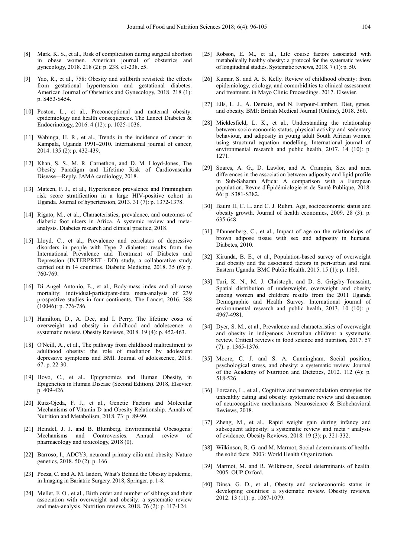- [8] Mark, K. S., et al., Risk of complication during surgical abortion in obese women. American journal of obstetrics and gynecology, 2018. 218 (2): p. 238. e1-238. e5.
- Yao, R., et al., 758: Obesity and stillbirth revisited: the effects from gestational hypertension and gestational diabetes. American Journal of Obstetrics and Gynecology, 2018. 218 (1): p. S453-S454.
- [10] Poston, L., et al., Preconceptional and maternal obesity: epidemiology and health consequences. The Lancet Diabetes & Endocrinology, 2016. 4 (12): p. 1025-1036.
- [11] Wabinga, H. R., et al., Trends in the incidence of cancer in Kampala, Uganda 1991–2010. International journal of cancer, 2014. 135 (2): p. 432-439.
- [12] Khan, S. S., M. R. Carnethon, and D. M. Lloyd-Jones, The Obesity Paradigm and Lifetime Risk of Cardiovascular Disease—Reply. JAMA cardiology, 2018.
- [13] Mateen, F. J., et al., Hypertension prevalence and Framingham risk score stratification in a large HIV-positive cohort in Uganda. Journal of hypertension, 2013. 31 (7): p. 1372-1378.
- [14] Rigato, M., et al., Characteristics, prevalence, and outcomes of diabetic foot ulcers in Africa. A systemic review and metaanalysis. Diabetes research and clinical practice, 2018.
- [15] Lloyd, C., et al., Prevalence and correlates of depressive disorders in people with Type 2 diabetes: results from the International Prevalence and Treatment of Diabetes and Depression (INTERPRET - DD) study, a collaborative study carried out in 14 countries. Diabetic Medicine, 2018. 35 (6): p. 760-769.
- [16] Di Angel Antonio, E., et al., Body-mass index and all-cause mortality: individual-participant-data meta-analysis of 239 prospective studies in four continents. The Lancet, 2016. 388 (10046): p. 776-786.
- [17] Hamilton, D., A. Dee, and I. Perry, The lifetime costs of overweight and obesity in childhood and adolescence: a systematic review. Obesity Reviews, 2018. 19 (4): p. 452-463.
- [18] O'Neill, A., et al., The pathway from childhood maltreatment to adulthood obesity: the role of mediation by adolescent depressive symptoms and BMI. Journal of adolescence, 2018. 67: p. 22-30.
- [19] Hoyo, C., et al., Epigenomics and Human Obesity, in Epigenetics in Human Disease (Second Edition). 2018, Elsevier. p. 409-426.
- [20] Ruiz-Ojeda, F. J., et al., Genetic Factors and Molecular Mechanisms of Vitamin D and Obesity Relationship. Annals of Nutrition and Metabolism, 2018. 73: p. 89-99.
- [21] Heindel, J. J. and B. Blumberg, Environmental Obesogens: Mechanisms and Controversies. Annual review of pharmacology and toxicology, 2018 (0).
- [22] Barroso, I., ADCY3, neuronal primary cilia and obesity. Nature genetics, 2018. 50 (2): p. 166.
- [23] Pozza, C. and A. M. Isidori, What's Behind the Obesity Epidemic, in Imaging in Bariatric Surgery. 2018, Springer. p. 1-8.
- [24] Meller, F. O., et al., Birth order and number of siblings and their association with overweight and obesity: a systematic review and meta-analysis. Nutrition reviews, 2018. 76 (2): p. 117-124.
- [25] Robson, E. M., et al., Life course factors associated with metabolically healthy obesity: a protocol for the systematic review of longitudinal studies. Systematic reviews, 2018. 7 (1): p. 50.
- [26] Kumar, S. and A. S. Kelly. Review of childhood obesity: from epidemiology, etiology, and comorbidities to clinical assessment and treatment. in Mayo Clinic Proceedings. 2017. Elsevier.
- [27] Ells, L. J., A. Demaio, and N. Farpour-Lambert, Diet, genes, and obesity. BMJ: British Medical Journal (Online), 2018. 360.
- [28] Micklesfield, L. K., et al., Understanding the relationship between socio-economic status, physical activity and sedentary behaviour, and adiposity in young adult South African women using structural equation modelling. International journal of environmental research and public health, 2017. 14 (10): p. 1271.
- [29] Soares, A. G., D. Lawlor, and A. Crampin, Sex and area differences in the association between adiposity and lipid profile in Sub-Saharan Africa: A comparison with a European population. Revue d'Épidémiologie et de Santé Publique, 2018. 66: p. S381-S382.
- [30] Baum II, C. L. and C. J. Ruhm, Age, socioeconomic status and obesity growth. Journal of health economics, 2009. 28 (3): p. 635-648.
- [31] Pfannenberg, C., et al., Impact of age on the relationships of brown adipose tissue with sex and adiposity in humans. Diabetes, 2010.
- [32] Kirunda, B. E., et al., Population-based survey of overweight and obesity and the associated factors in peri-urban and rural Eastern Uganda. BMC Public Health, 2015. 15 (1): p. 1168.
- [33] Turi, K. N., M. J. Christoph, and D. S. Grigsby-Toussaint, Spatial distribution of underweight, overweight and obesity among women and children: results from the 2011 Uganda Demographic and Health Survey. International journal of environmental research and public health, 2013. 10 (10): p. 4967-4981.
- [34] Dyer, S. M., et al., Prevalence and characteristics of overweight and obesity in indigenous Australian children: a systematic review. Critical reviews in food science and nutrition, 2017. 57 (7): p. 1365-1376.
- [35] Moore, C. J. and S. A. Cunningham, Social position, psychological stress, and obesity: a systematic review. Journal of the Academy of Nutrition and Dietetics, 2012. 112 (4): p. 518-526.
- [36] Forcano, L., et al., Cognitive and neuromodulation strategies for unhealthy eating and obesity: systematic review and discussion of neurocognitive mechanisms. Neuroscience & Biobehavioral Reviews, 2018.
- [37] Zheng, M., et al., Rapid weight gain during infancy and subsequent adiposity: a systematic review and meta - analysis of evidence. Obesity Reviews, 2018. 19 (3): p. 321-332.
- [38] Wilkinson, R. G. and M. Marmot, Social determinants of health: the solid facts. 2003: World Health Organization.
- [39] Marmot, M. and R. Wilkinson, Social determinants of health. 2005: OUP Oxford.
- [40] Dinsa, G. D., et al., Obesity and socioeconomic status in developing countries: a systematic review. Obesity reviews, 2012. 13 (11): p. 1067-1079.